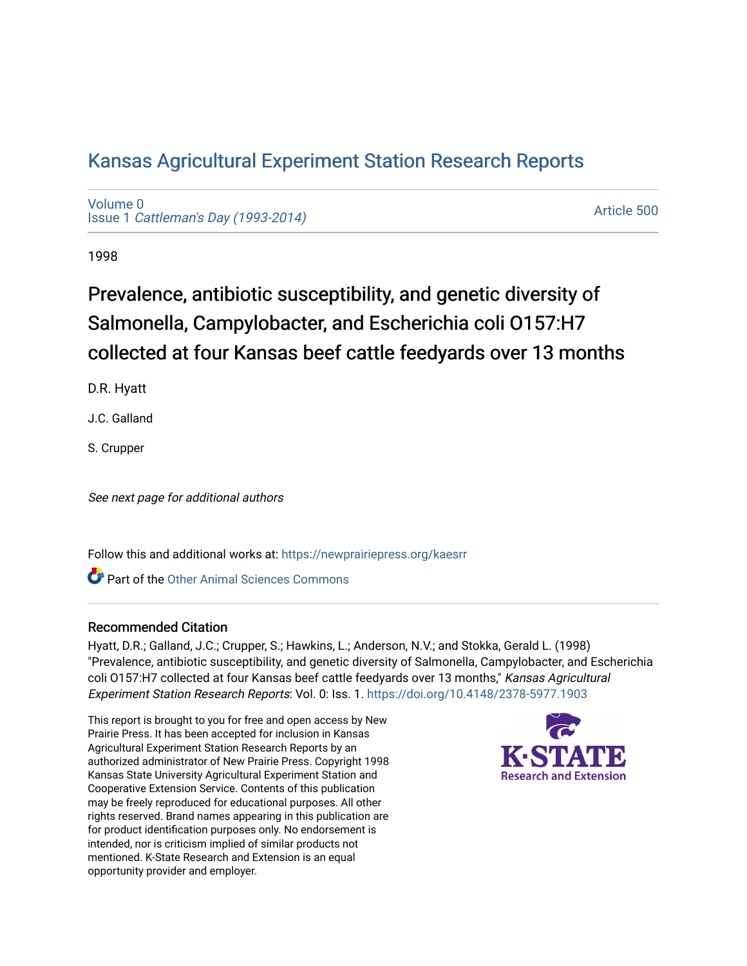# [Kansas Agricultural Experiment Station Research Reports](https://newprairiepress.org/kaesrr)

[Volume 0](https://newprairiepress.org/kaesrr/vol0) Issue 1 [Cattleman's Day \(1993-2014\)](https://newprairiepress.org/kaesrr/vol0/iss1) 

[Article 500](https://newprairiepress.org/kaesrr/vol0/iss1/500) 

1998

# Prevalence, antibiotic susceptibility, and genetic diversity of Salmonella, Campylobacter, and Escherichia coli O157:H7 collected at four Kansas beef cattle feedyards over 13 months

D.R. Hyatt

J.C. Galland

S. Crupper

See next page for additional authors

Follow this and additional works at: [https://newprairiepress.org/kaesrr](https://newprairiepress.org/kaesrr?utm_source=newprairiepress.org%2Fkaesrr%2Fvol0%2Fiss1%2F500&utm_medium=PDF&utm_campaign=PDFCoverPages) 

**C** Part of the [Other Animal Sciences Commons](http://network.bepress.com/hgg/discipline/82?utm_source=newprairiepress.org%2Fkaesrr%2Fvol0%2Fiss1%2F500&utm_medium=PDF&utm_campaign=PDFCoverPages)

### Recommended Citation

Hyatt, D.R.; Galland, J.C.; Crupper, S.; Hawkins, L.; Anderson, N.V.; and Stokka, Gerald L. (1998) "Prevalence, antibiotic susceptibility, and genetic diversity of Salmonella, Campylobacter, and Escherichia coli O157:H7 collected at four Kansas beef cattle feedyards over 13 months," Kansas Agricultural Experiment Station Research Reports: Vol. 0: Iss. 1. <https://doi.org/10.4148/2378-5977.1903>

This report is brought to you for free and open access by New Prairie Press. It has been accepted for inclusion in Kansas Agricultural Experiment Station Research Reports by an authorized administrator of New Prairie Press. Copyright 1998 Kansas State University Agricultural Experiment Station and Cooperative Extension Service. Contents of this publication may be freely reproduced for educational purposes. All other rights reserved. Brand names appearing in this publication are for product identification purposes only. No endorsement is intended, nor is criticism implied of similar products not mentioned. K-State Research and Extension is an equal opportunity provider and employer.

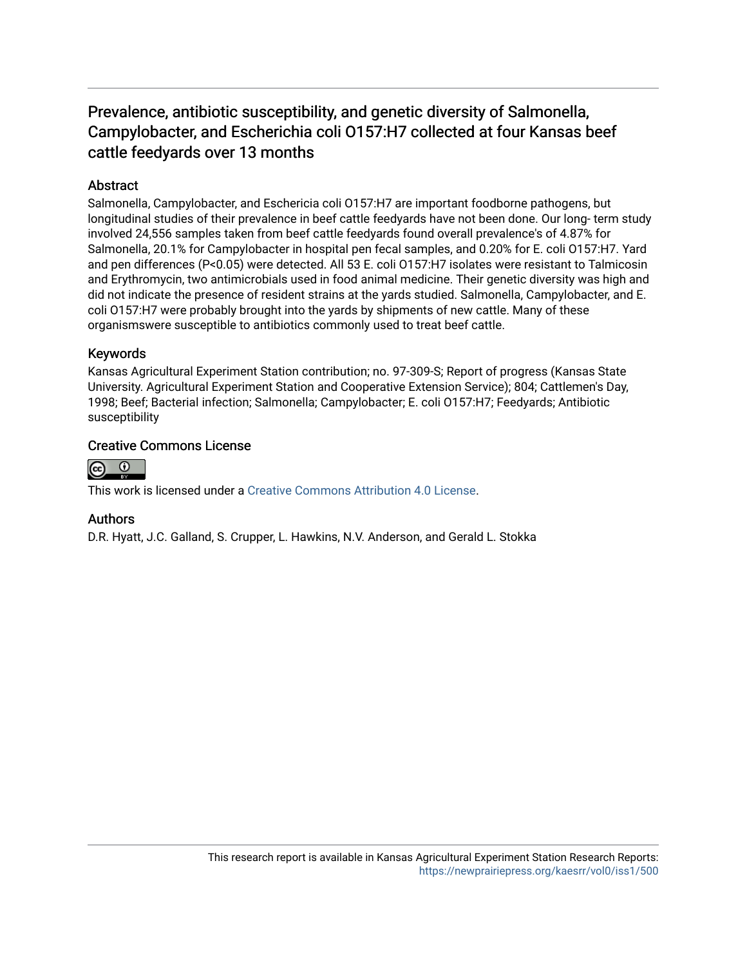# Prevalence, antibiotic susceptibility, and genetic diversity of Salmonella, Campylobacter, and Escherichia coli O157:H7 collected at four Kansas beef cattle feedyards over 13 months

# **Abstract**

Salmonella, Campylobacter, and Eschericia coli O157:H7 are important foodborne pathogens, but longitudinal studies of their prevalence in beef cattle feedyards have not been done. Our long- term study involved 24,556 samples taken from beef cattle feedyards found overall prevalence's of 4.87% for Salmonella, 20.1% for Campylobacter in hospital pen fecal samples, and 0.20% for E. coli O157:H7. Yard and pen differences (P<0.05) were detected. All 53 E. coli O157:H7 isolates were resistant to Talmicosin and Erythromycin, two antimicrobials used in food animal medicine. Their genetic diversity was high and did not indicate the presence of resident strains at the yards studied. Salmonella, Campylobacter, and E. coli O157:H7 were probably brought into the yards by shipments of new cattle. Many of these organismswere susceptible to antibiotics commonly used to treat beef cattle.

### Keywords

Kansas Agricultural Experiment Station contribution; no. 97-309-S; Report of progress (Kansas State University. Agricultural Experiment Station and Cooperative Extension Service); 804; Cattlemen's Day, 1998; Beef; Bacterial infection; Salmonella; Campylobacter; E. coli O157:H7; Feedyards; Antibiotic susceptibility

### Creative Commons License



This work is licensed under a [Creative Commons Attribution 4.0 License](https://creativecommons.org/licenses/by/4.0/).

### Authors

D.R. Hyatt, J.C. Galland, S. Crupper, L. Hawkins, N.V. Anderson, and Gerald L. Stokka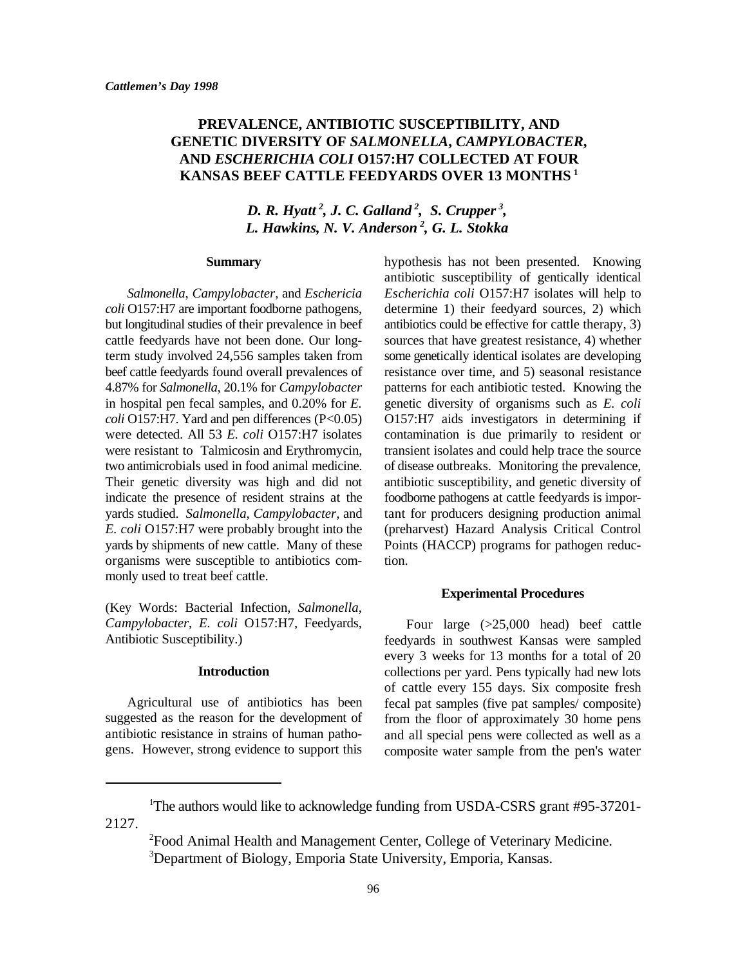# **PREVALENCE, ANTIBIOTIC SUSCEPTIBILITY, AND GENETIC DIVERSITY OF** *SALMONELLA***,** *CAMPYLOBACTER***, AND** *ESCHERICHIA COLI* **O157:H7 COLLECTED AT FOUR KANSAS BEEF CATTLE FEEDYARDS OVER 13 MONTHS <sup>1</sup>**

# *D. R. Hyatt<sup>2</sup>, J. C. Galland<sup>2</sup>, S. Crupper<sup>3</sup>, L. Hawkins, N. V. Anderson , G. L. Stokka <sup>2</sup>*

#### **Summary**

*coli* O157:H7 are important foodborne pathogens, determine 1) their feedyard sources, 2) which but longitudinal studies of their prevalence in beef antibiotics could be effective for cattle therapy, 3) cattle feedyards have not been done. Our long- sources that have greatest resistance, 4) whether term study involved 24,556 samples taken from some genetically identical isolates are developing beef cattle feedyards found overall prevalences of resistance over time, and 5) seasonal resistance 4.87% for *Salmonella*, 20.1% for *Campylobacter* patterns for each antibiotic tested. Knowing the in hospital pen fecal samples, and 0.20% for *E.* genetic diversity of organisms such as *E. coli coli* O157:H7. Yard and pen differences (P<0.05) O157:H7 aids investigators in determining if were detected. All 53 *E. coli* O157:H7 isolates contamination is due primarily to resident or were resistant to Talmicosin and Erythromycin, transient isolates and could help trace the source two antimicrobials used in food animal medicine. of disease outbreaks. Monitoring the prevalence, Their genetic diversity was high and did not antibiotic susceptibility, and genetic diversity of indicate the presence of resident strains at the foodborne pathogens at cattle feedyards is imporyards studied. *Salmonella*, *Campylobacter*, and tant for producers designing production animal *E. coli* O157:H7 were probably brought into the (preharvest) Hazard Analysis Critical Control yards by shipments of new cattle. Many of these Points (HACCP) programs for pathogen reducorganisms were susceptible to antibiotics com- tion. monly used to treat beef cattle.

(Key Words: Bacterial Infection, *Salmonella*, *Campylobacter*, *E. coli* O157:H7, Feedyards, Antibiotic Susceptibility.)

#### **Introduction**

Agricultural use of antibiotics has been suggested as the reason for the development of antibiotic resistance in strains of human pathogens. However, strong evidence to support this

2127.

*Salmonella*, *Campylobacter*, and *Eschericia Escherichia coli* O157:H7 isolates will help to hypothesis has not been presented. Knowing antibiotic susceptibility of gentically identical

#### **Experimental Procedures**

Four large (>25,000 head) beef cattle feedyards in southwest Kansas were sampled every 3 weeks for 13 months for a total of 20 collections per yard. Pens typically had new lots of cattle every 155 days. Six composite fresh fecal pat samples (five pat samples/ composite) from the floor of approximately 30 home pens and all special pens were collected as well as a composite water sample from the pen's water

<sup>&</sup>lt;sup>1</sup>The authors would like to acknowledge funding from USDA-CSRS grant #95-37201-

Food Animal Health and Management Center, College of Veterinary Medicine. <sup>2</sup> <sup>3</sup>Department of Biology, Emporia State University, Emporia, Kansas.